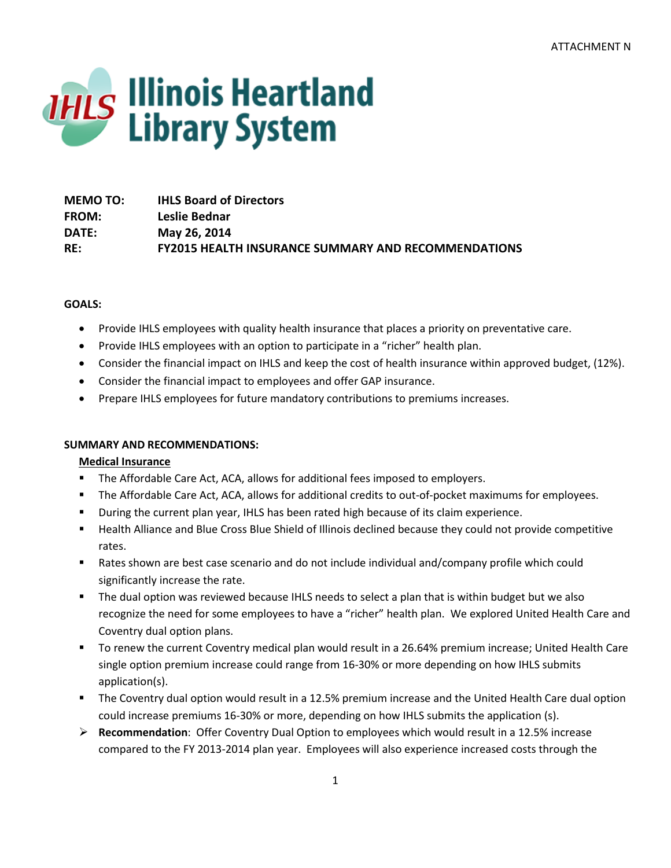

| <b>MEMO TO:</b> | <b>IHLS Board of Directors</b>                             |
|-----------------|------------------------------------------------------------|
| <b>FROM:</b>    | Leslie Bednar                                              |
| DATE:           | May 26, 2014                                               |
| RE:             | <b>FY2015 HEALTH INSURANCE SUMMARY AND RECOMMENDATIONS</b> |

## **GOALS:**

- Provide IHLS employees with quality health insurance that places a priority on preventative care.
- Provide IHLS employees with an option to participate in a "richer" health plan.
- Consider the financial impact on IHLS and keep the cost of health insurance within approved budget, (12%).
- Consider the financial impact to employees and offer GAP insurance.
- Prepare IHLS employees for future mandatory contributions to premiums increases.

# **SUMMARY AND RECOMMENDATIONS:**

# **Medical Insurance**

- The Affordable Care Act, ACA, allows for additional fees imposed to employers.
- The Affordable Care Act, ACA, allows for additional credits to out-of-pocket maximums for employees.
- During the current plan year, IHLS has been rated high because of its claim experience.
- **EXECT Alliance and Blue Cross Blue Shield of Illinois declined because they could not provide competitive** rates.
- Rates shown are best case scenario and do not include individual and/company profile which could significantly increase the rate.
- **The dual option was reviewed because IHLS needs to select a plan that is within budget but we also** recognize the need for some employees to have a "richer" health plan. We explored United Health Care and Coventry dual option plans.
- To renew the current Coventry medical plan would result in a 26.64% premium increase; United Health Care single option premium increase could range from 16-30% or more depending on how IHLS submits application(s).
- The Coventry dual option would result in a 12.5% premium increase and the United Health Care dual option could increase premiums 16-30% or more, depending on how IHLS submits the application (s).
- **Recommendation**: Offer Coventry Dual Option to employees which would result in a 12.5% increase compared to the FY 2013-2014 plan year. Employees will also experience increased costs through the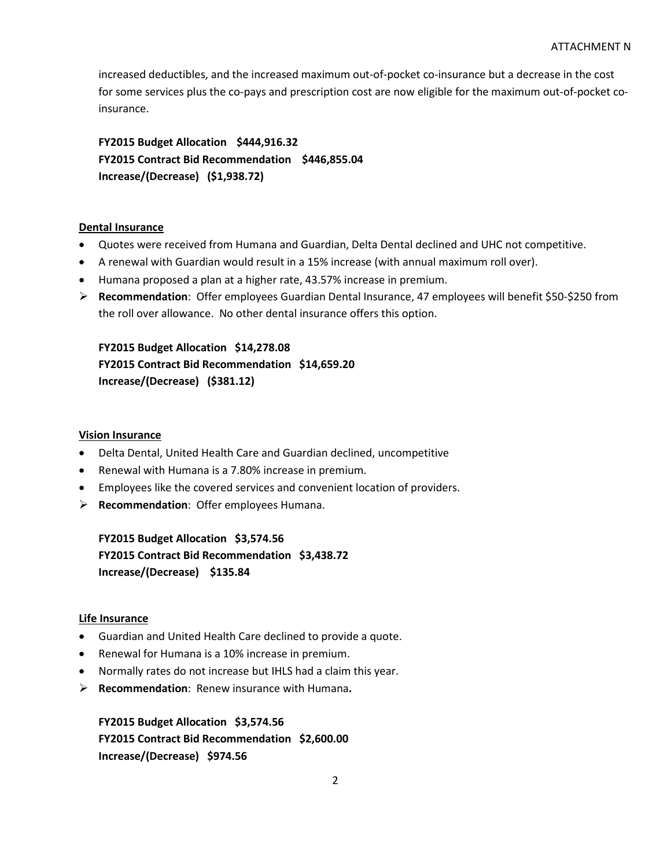increased deductibles, and the increased maximum out-of-pocket co-insurance but a decrease in the cost for some services plus the co-pays and prescription cost are now eligible for the maximum out-of-pocket coinsurance.

**FY2015 Budget Allocation \$444,916.32 FY2015 Contract Bid Recommendation \$446,855.04 Increase/(Decrease) (\$1,938.72)**

## **Dental Insurance**

- Quotes were received from Humana and Guardian, Delta Dental declined and UHC not competitive.
- A renewal with Guardian would result in a 15% increase (with annual maximum roll over).
- Humana proposed a plan at a higher rate, 43.57% increase in premium.
- **Recommendation**: Offer employees Guardian Dental Insurance, 47 employees will benefit \$50-\$250 from the roll over allowance. No other dental insurance offers this option.

**FY2015 Budget Allocation \$14,278.08 FY2015 Contract Bid Recommendation \$14,659.20 Increase/(Decrease) (\$381.12)**

#### **Vision Insurance**

- Delta Dental, United Health Care and Guardian declined, uncompetitive
- Renewal with Humana is a 7.80% increase in premium.
- Employees like the covered services and convenient location of providers.
- **Recommendation**: Offer employees Humana.

**FY2015 Budget Allocation \$3,574.56 FY2015 Contract Bid Recommendation \$3,438.72 Increase/(Decrease) \$135.84**

#### **Life Insurance**

- Guardian and United Health Care declined to provide a quote.
- Renewal for Humana is a 10% increase in premium.
- Normally rates do not increase but IHLS had a claim this year.
- **Recommendation**: Renew insurance with Humana**.**

**FY2015 Budget Allocation \$3,574.56 FY2015 Contract Bid Recommendation \$2,600.00 Increase/(Decrease) \$974.56**